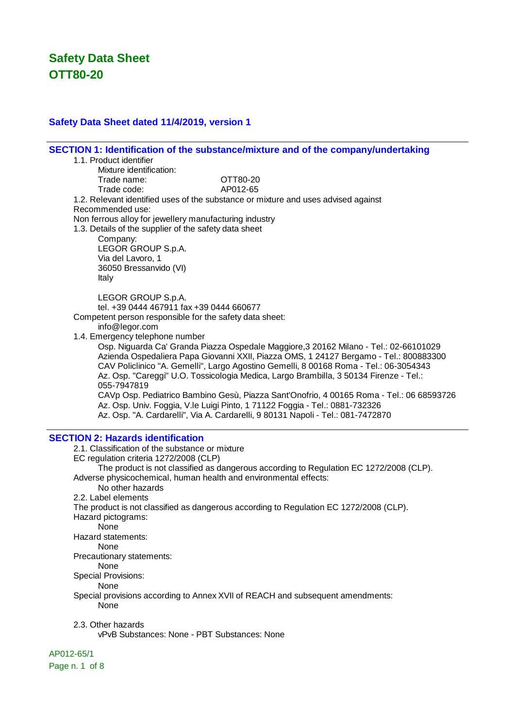## **Safety Data Sheet dated 11/4/2019, version 1**

**SECTION 1: Identification of the substance/mixture and of the company/undertaking** 1.1. Product identifier Mixture identification: Trade name: OTT80-20 Trade code: AP012-65 1.2. Relevant identified uses of the substance or mixture and uses advised against Recommended use: Non ferrous alloy for jewellery manufacturing industry 1.3. Details of the supplier of the safety data sheet Company: LEGOR GROUP S.p.A. Via del Lavoro, 1 36050 Bressanvido (VI) Italy LEGOR GROUP S.p.A. tel. +39 0444 467911 fax +39 0444 660677 Competent person responsible for the safety data sheet: info@legor.com 1.4. Emergency telephone number Osp. Niguarda Ca' Granda Piazza Ospedale Maggiore,3 20162 Milano - Tel.: 02-66101029 Azienda Ospedaliera Papa Giovanni XXII, Piazza OMS, 1 24127 Bergamo - Tel.: 800883300 CAV Policlinico "A. Gemelli", Largo Agostino Gemelli, 8 00168 Roma - Tel.: 06-3054343 Az. Osp. "Careggi" U.O. Tossicologia Medica, Largo Brambilla, 3 50134 Firenze - Tel.: 055-7947819 CAVp Osp. Pediatrico Bambino Gesù, Piazza Sant'Onofrio, 4 00165 Roma - Tel.: 06 68593726 Az. Osp. Univ. Foggia, V.le Luigi Pinto, 1 71122 Foggia - Tel.: 0881-732326 Az. Osp. "A. Cardarelli", Via A. Cardarelli, 9 80131 Napoli - Tel.: 081-7472870 **SECTION 2: Hazards identification** 2.1. Classification of the substance or mixture EC regulation criteria 1272/2008 (CLP) The product is not classified as dangerous according to Regulation EC 1272/2008 (CLP). Adverse physicochemical, human health and environmental effects: No other hazards 2.2. Label elements The product is not classified as dangerous according to Regulation EC 1272/2008 (CLP). Hazard pictograms: None Hazard statements: None Precautionary statements: None Special Provisions: **None** Special provisions according to Annex XVII of REACH and subsequent amendments: None 2.3. Other hazards vPvB Substances: None - PBT Substances: None

AP012-65/1

Page n. 1 of 8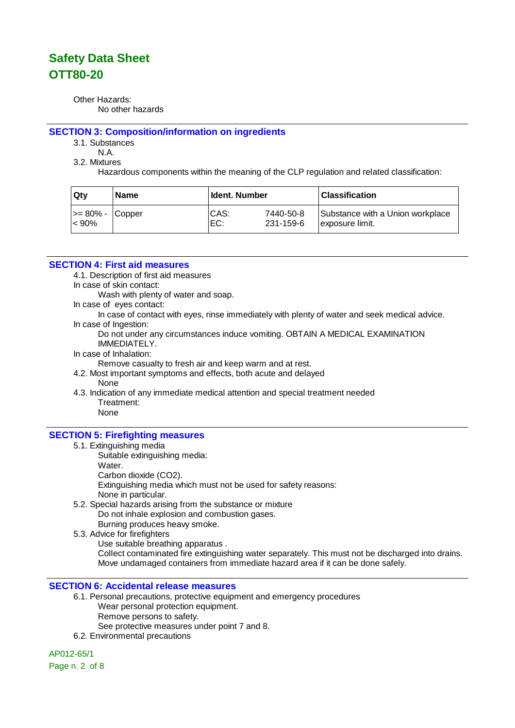Other Hazards: No other hazards

### **SECTION 3: Composition/information on ingredients**

3.1. Substances

N.A.

3.2. Mixtures

Hazardous components within the meaning of the CLP regulation and related classification:

| , Qtv         | <b>Name</b>   | <b>Ident. Number</b> |           | <b>Classification</b>            |
|---------------|---------------|----------------------|-----------|----------------------------------|
| $\ge$ = 80% - | <b>Copper</b> | CAS:                 | 7440-50-8 | Substance with a Union workplace |
| $ $ < 90%     |               | EC:                  | 231-159-6 | lexposure limit.                 |

### **SECTION 4: First aid measures**

4.1. Description of first aid measures

- In case of skin contact:
	- Wash with plenty of water and soap.
- In case of eyes contact:

In case of contact with eyes, rinse immediately with plenty of water and seek medical advice. In case of Ingestion:

Do not under any circumstances induce vomiting. OBTAIN A MEDICAL EXAMINATION IMMEDIATELY.

In case of Inhalation:

Remove casualty to fresh air and keep warm and at rest.

- 4.2. Most important symptoms and effects, both acute and delayed
	- None
- 4.3. Indication of any immediate medical attention and special treatment needed Treatment:

# None

### **SECTION 5: Firefighting measures**

- 5.1. Extinguishing media
	- Suitable extinguishing media:
		- Water.
		- Carbon dioxide (CO2).

Extinguishing media which must not be used for safety reasons:

- None in particular.
- 5.2. Special hazards arising from the substance or mixture Do not inhale explosion and combustion gases. Burning produces heavy smoke.
- 5.3. Advice for firefighters

Use suitable breathing apparatus . Collect contaminated fire extinguishing water separately. This must not be discharged into drains. Move undamaged containers from immediate hazard area if it can be done safely.

### **SECTION 6: Accidental release measures**

- 6.1. Personal precautions, protective equipment and emergency procedures Wear personal protection equipment. Remove persons to safety. See protective measures under point 7 and 8.
- 6.2. Environmental precautions

# AP012-65/1

Page n. 2 of 8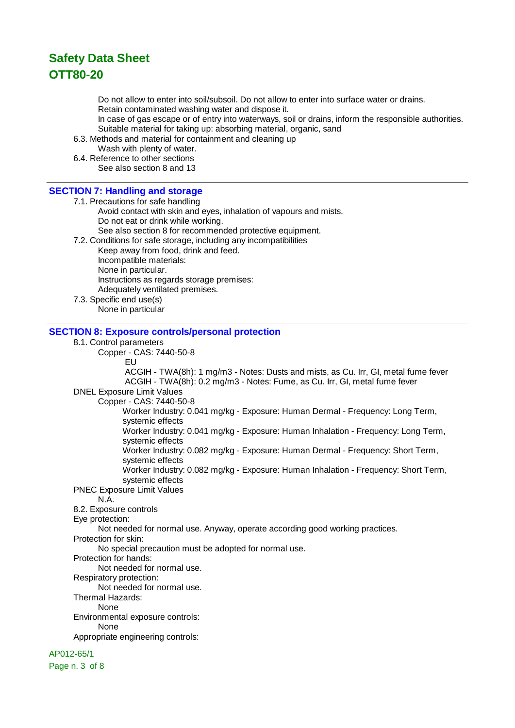Do not allow to enter into soil/subsoil. Do not allow to enter into surface water or drains. Retain contaminated washing water and dispose it.

In case of gas escape or of entry into waterways, soil or drains, inform the responsible authorities. Suitable material for taking up: absorbing material, organic, sand

6.3. Methods and material for containment and cleaning up

Wash with plenty of water.

6.4. Reference to other sections See also section 8 and 13

## **SECTION 7: Handling and storage**

7.1. Precautions for safe handling

- Avoid contact with skin and eyes, inhalation of vapours and mists. Do not eat or drink while working. See also section 8 for recommended protective equipment.
- 7.2. Conditions for safe storage, including any incompatibilities

Keep away from food, drink and feed. Incompatible materials: None in particular. Instructions as regards storage premises: Adequately ventilated premises.

7.3. Specific end use(s) None in particular

## **SECTION 8: Exposure controls/personal protection**

### 8.1. Control parameters

Copper - CAS: 7440-50-8

EU

 ACGIH - TWA(8h): 1 mg/m3 - Notes: Dusts and mists, as Cu. Irr, GI, metal fume fever ACGIH - TWA(8h): 0.2 mg/m3 - Notes: Fume, as Cu. Irr, GI, metal fume fever

DNEL Exposure Limit Values

Copper - CAS: 7440-50-8

Worker Industry: 0.041 mg/kg - Exposure: Human Dermal - Frequency: Long Term, systemic effects

Worker Industry: 0.041 mg/kg - Exposure: Human Inhalation - Frequency: Long Term, systemic effects

Worker Industry: 0.082 mg/kg - Exposure: Human Dermal - Frequency: Short Term, systemic effects

Worker Industry: 0.082 mg/kg - Exposure: Human Inhalation - Frequency: Short Term, systemic effects

PNEC Exposure Limit Values

N.A.

8.2. Exposure controls

Eye protection:

Not needed for normal use. Anyway, operate according good working practices.

Protection for skin:

No special precaution must be adopted for normal use.

Protection for hands:

Not needed for normal use.

Respiratory protection:

Not needed for normal use.

Thermal Hazards:

None

Environmental exposure controls:

None

Appropriate engineering controls:

AP012-65/1

Page n. 3 of 8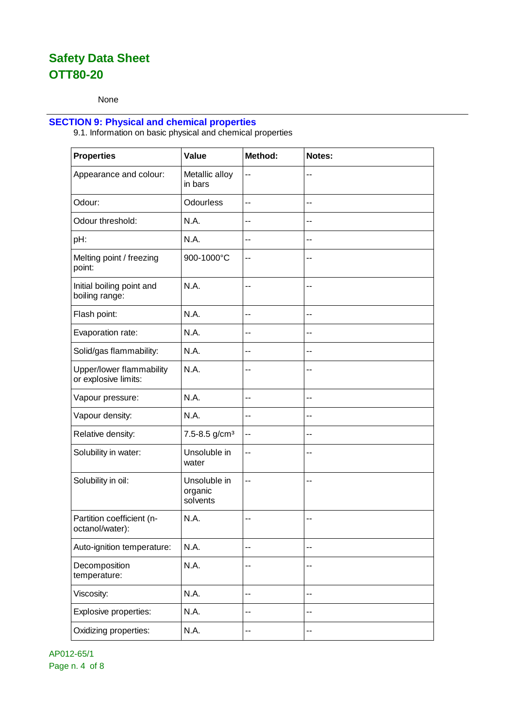None

## **SECTION 9: Physical and chemical properties**

9.1. Information on basic physical and chemical properties

| <b>Properties</b>                                | Value                               | Method:                  | Notes: |
|--------------------------------------------------|-------------------------------------|--------------------------|--------|
| Appearance and colour:                           | Metallic alloy<br>in bars           | $\overline{\phantom{a}}$ | $-$    |
| Odour:                                           | <b>Odourless</b>                    | $-$                      | --     |
| Odour threshold:                                 | N.A.                                | $-$                      | $-$    |
| pH:                                              | N.A.                                | --                       | --     |
| Melting point / freezing<br>point:               | 900-1000°C                          | --                       | --     |
| Initial boiling point and<br>boiling range:      | N.A.                                | --                       | --     |
| Flash point:                                     | N.A.                                | $-$                      | $-$    |
| Evaporation rate:                                | N.A.                                | $-$                      | $-$    |
| Solid/gas flammability:                          | N.A.                                | --                       | --     |
| Upper/lower flammability<br>or explosive limits: | N.A.                                | --                       | --     |
| Vapour pressure:                                 | N.A.                                | --                       | --     |
| Vapour density:                                  | N.A.                                | --                       | --     |
| Relative density:                                | 7.5-8.5 g/cm <sup>3</sup>           | $-$                      | $-$    |
| Solubility in water:                             | Unsoluble in<br>water               | --                       | --     |
| Solubility in oil:                               | Unsoluble in<br>organic<br>solvents | $\overline{\phantom{a}}$ | --     |
| Partition coefficient (n-<br>octanol/water):     | N.A.                                | $-$                      | $-$    |
| Auto-ignition temperature:                       | N.A.                                | --                       | --     |
| Decomposition<br>temperature:                    | N.A.                                | --                       | $-$    |
| Viscosity:                                       | N.A.                                | --                       | $-$    |
| Explosive properties:                            | N.A.                                | --                       | $-$    |
| Oxidizing properties:                            | N.A.                                | --                       | --     |

AP012-65/1 Page n. 4 of 8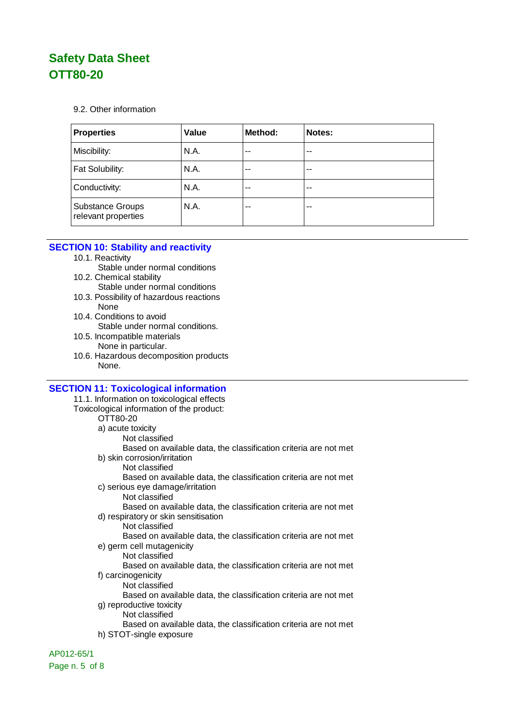9.2. Other information

| <b>Properties</b>                              | Value | Method: | Notes: |
|------------------------------------------------|-------|---------|--------|
| Miscibility:                                   | N.A.  | $-$     | $-$    |
| Fat Solubility:                                | N.A.  | $-$     | $-$    |
| Conductivity:                                  | N.A.  | --      | $-$    |
| <b>Substance Groups</b><br>relevant properties | N.A.  | --      | $-$    |

## **SECTION 10: Stability and reactivity**

- 10.1. Reactivity
	- Stable under normal conditions
- 10.2. Chemical stability Stable under normal conditions
- 10.3. Possibility of hazardous reactions None
- 10.4. Conditions to avoid Stable under normal conditions.
- 10.5. Incompatible materials None in particular.
- 10.6. Hazardous decomposition products None.

## **SECTION 11: Toxicological information**

| 11.1. Information on toxicological effects                       |
|------------------------------------------------------------------|
| Toxicological information of the product:                        |
| OTT80-20                                                         |
| a) acute toxicity                                                |
| Not classified                                                   |
| Based on available data, the classification criteria are not met |
| b) skin corrosion/irritation                                     |
| Not classified                                                   |
| Based on available data, the classification criteria are not met |
| c) serious eye damage/irritation                                 |
| Not classified                                                   |
| Based on available data, the classification criteria are not met |
| d) respiratory or skin sensitisation                             |
| Not classified                                                   |
| Based on available data, the classification criteria are not met |
| e) germ cell mutagenicity                                        |
| Not classified                                                   |
| Based on available data, the classification criteria are not met |
| f) carcinogenicity                                               |
| Not classified                                                   |
| Based on available data, the classification criteria are not met |
| g) reproductive toxicity                                         |
| Not classified                                                   |
| Based on available data, the classification criteria are not met |
| h) STOT-single exposure                                          |

AP012-65/1 Page n. 5 of 8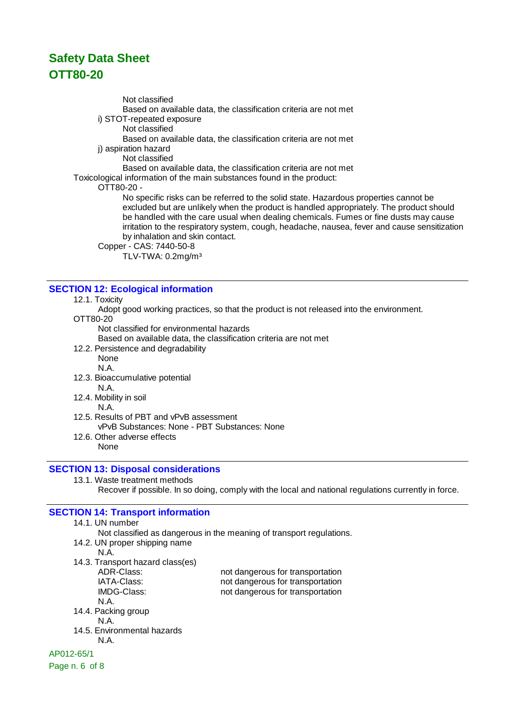Not classified

- Based on available data, the classification criteria are not met
- i) STOT-repeated exposure
	- Not classified

Based on available data, the classification criteria are not met

i) aspiration hazard

Not classified

Based on available data, the classification criteria are not met

Toxicological information of the main substances found in the product:

#### OTT80-20 -

No specific risks can be referred to the solid state. Hazardous properties cannot be excluded but are unlikely when the product is handled appropriately. The product should be handled with the care usual when dealing chemicals. Fumes or fine dusts may cause irritation to the respiratory system, cough, headache, nausea, fever and cause sensitization by inhalation and skin contact.

Copper - CAS: 7440-50-8

TLV-TWA: 0.2mg/m³

## **SECTION 12: Ecological information**

### 12.1. Toxicity

Adopt good working practices, so that the product is not released into the environment.

OTT80-20

Not classified for environmental hazards

Based on available data, the classification criteria are not met

12.2. Persistence and degradability

None N.A.

12.3. Bioaccumulative potential

N.A.

12.4. Mobility in soil

### N.A.

- 12.5. Results of PBT and vPvB assessment vPvB Substances: None - PBT Substances: None
- 12.6. Other adverse effects

## None

## **SECTION 13: Disposal considerations**

13.1. Waste treatment methods

Recover if possible. In so doing, comply with the local and national regulations currently in force.

## **SECTION 14: Transport information**

14.1. UN number

Not classified as dangerous in the meaning of transport regulations.

14.2. UN proper shipping name

N.A.

- 14.3. Transport hazard class(es)
	- -
		-

N.A.

- 14.4. Packing group
	- N.A.
- 14.5. Environmental hazards N.A.

### AP012-65/1

Page n. 6 of 8

ADR-Class: not dangerous for transportation<br>
IATA-Class: not dangerous for transportation not dangerous for transportation IMDG-Class: not dangerous for transportation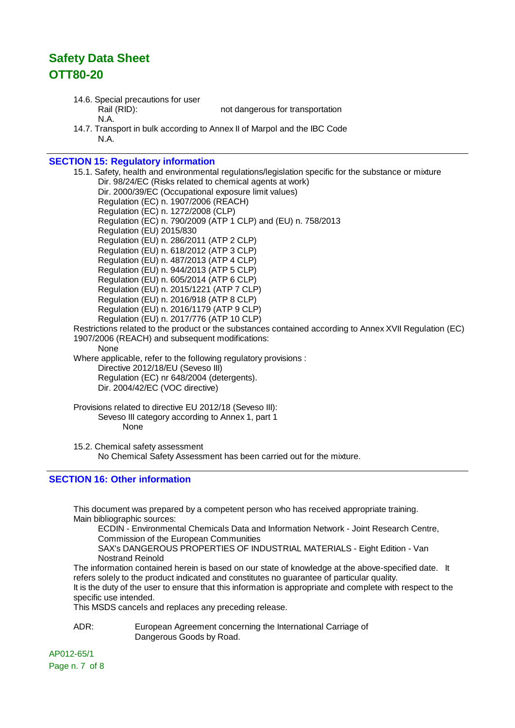14.6. Special precautions for user

N.A.

Rail (RID): not dangerous for transportation

14.7. Transport in bulk according to Annex II of Marpol and the IBC Code N.A.

## **SECTION 15: Regulatory information**

15.1. Safety, health and environmental regulations/legislation specific for the substance or mixture Dir. 98/24/EC (Risks related to chemical agents at work) Dir. 2000/39/EC (Occupational exposure limit values) Regulation (EC) n. 1907/2006 (REACH) Regulation (EC) n. 1272/2008 (CLP) Regulation (EC) n. 790/2009 (ATP 1 CLP) and (EU) n. 758/2013 Regulation (EU) 2015/830 Regulation (EU) n. 286/2011 (ATP 2 CLP) Regulation (EU) n. 618/2012 (ATP 3 CLP) Regulation (EU) n. 487/2013 (ATP 4 CLP) Regulation (EU) n. 944/2013 (ATP 5 CLP) Regulation (EU) n. 605/2014 (ATP 6 CLP) Regulation (EU) n. 2015/1221 (ATP 7 CLP) Regulation (EU) n. 2016/918 (ATP 8 CLP) Regulation (EU) n. 2016/1179 (ATP 9 CLP) Regulation (EU) n. 2017/776 (ATP 10 CLP) Restrictions related to the product or the substances contained according to Annex XVII Regulation (EC) 1907/2006 (REACH) and subsequent modifications: None Where applicable, refer to the following regulatory provisions : Directive 2012/18/EU (Seveso III) Regulation (EC) nr 648/2004 (detergents). Dir. 2004/42/EC (VOC directive) Provisions related to directive EU 2012/18 (Seveso III): Seveso III category according to Annex 1, part 1 None

15.2. Chemical safety assessment

No Chemical Safety Assessment has been carried out for the mixture.

## **SECTION 16: Other information**

This document was prepared by a competent person who has received appropriate training. Main bibliographic sources:

ECDIN - Environmental Chemicals Data and Information Network - Joint Research Centre, Commission of the European Communities

SAX's DANGEROUS PROPERTIES OF INDUSTRIAL MATERIALS - Eight Edition - Van Nostrand Reinold

The information contained herein is based on our state of knowledge at the above-specified date. It refers solely to the product indicated and constitutes no guarantee of particular quality.

It is the duty of the user to ensure that this information is appropriate and complete with respect to the specific use intended.

This MSDS cancels and replaces any preceding release.

ADR: European Agreement concerning the International Carriage of Dangerous Goods by Road.

AP012-65/1 Page n. 7 of 8